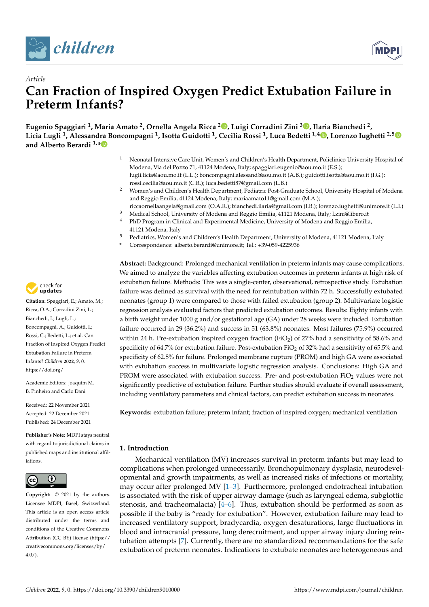



# *Article* **Can Fraction of Inspired Oxygen Predict Extubation Failure in Preterm Infants?**

**Eugenio Spaggiari <sup>1</sup> , Maria Amato <sup>2</sup> , Ornella Angela Ricca <sup>2</sup> [,](https://orcid.org/0000-0003-3463-8312) Luigi Corradini Zini <sup>3</sup> [,](https://orcid.org/0000-0002-8127-4833) Ilaria Bianchedi <sup>2</sup> , Licia Lugli <sup>1</sup> , Alessandra Boncompagni <sup>1</sup> , Isotta Guidotti <sup>1</sup> , Cecilia Rossi <sup>1</sup> , Luca Bedetti 1,4 [,](https://orcid.org/0000-0003-1302-4944) Lorenzo Iughetti 2,[5](https://orcid.org/0000-0003-0370-7872) and Alberto Berardi 1,[\\*](https://orcid.org/0000-0002-3534-7499)**

- <sup>1</sup> Neonatal Intensive Care Unit, Women's and Children's Health Department, Policlinico University Hospital of Modena, Via del Pozzo 71, 41124 Modena, Italy; spaggiari.eugenio@aou.mo.it (E.S.); lugli.licia@aou.mo.it (L.L.); boncompagni.alessand@aou.mo.it (A.B.); guidotti.isotta@aou.mo.it (I.G.); rossi.cecilia@aou.mo.it (C.R.); luca.bedetti87@gmail.com (L.B.)
- <sup>2</sup> Women's and Children's Health Department, Pediatric Post-Graduate School, University Hospital of Modena and Reggio Emilia, 41124 Modena, Italy; mariaamato11@gmail.com (M.A.);
- riccaornellaangela@gmail.com (O.A.R.); bianchedi.ilaria@gmail.com (I.B.); lorenzo.iughetti@unimore.it (L.I.)
- <sup>3</sup> Medical School, University of Modena and Reggio Emilia, 41121 Modena, Italy; l.zini@libero.it <sup>4</sup> PhD Program in Clinical and Experimental Medicine, University of Modena and Reggio Emilia,
- 41121 Modena, Italy
- <sup>5</sup> Pediatrics, Women's and Children's Health Department, University of Modena, 41121 Modena, Italy
- **\*** Correspondence: alberto.berardi@unimore.it; Tel.: +39-059-4225936

**Abstract:** Background: Prolonged mechanical ventilation in preterm infants may cause complications. We aimed to analyze the variables affecting extubation outcomes in preterm infants at high risk of extubation failure. Methods: This was a single-center, observational, retrospective study. Extubation failure was defined as survival with the need for reintubation within 72 h. Successfully extubated neonates (group 1) were compared to those with failed extubation (group 2). Multivariate logistic regression analysis evaluated factors that predicted extubation outcomes. Results: Eighty infants with a birth weight under 1000 g and/or gestational age (GA) under 28 weeks were included. Extubation failure occurred in 29 (36.2%) and success in 51 (63.8%) neonates. Most failures (75.9%) occurred within 24 h. Pre-extubation inspired oxygen fraction (FiO<sub>2</sub>) of 27% had a sensitivity of 58.6% and specificity of 64.7% for extubation failure. Post-extubation FiO<sub>2</sub> of 32% had a sensitivity of 65.5% and specificity of 62.8% for failure. Prolonged membrane rupture (PROM) and high GA were associated with extubation success in multivariate logistic regression analysis. Conclusions: High GA and PROM were associated with extubation success. Pre- and post-extubation FiO<sub>2</sub> values were not significantly predictive of extubation failure. Further studies should evaluate if overall assessment, including ventilatory parameters and clinical factors, can predict extubation success in neonates.

**Keywords:** extubation failure; preterm infant; fraction of inspired oxygen; mechanical ventilation

# **1. Introduction**

Mechanical ventilation (MV) increases survival in preterm infants but may lead to complications when prolonged unnecessarily. Bronchopulmonary dysplasia, neurodevelopmental and growth impairments, as well as increased risks of infections or mortality, may occur after prolonged MV  $[1-3]$  $[1-3]$ . Furthermore, prolonged endotracheal intubation is associated with the risk of upper airway damage (such as laryngeal edema, subglottic stenosis, and tracheomalacia) [\[4](#page-5-2)[–6\]](#page-6-0). Thus, extubation should be performed as soon as possible if the baby is "ready for extubation". However, extubation failure may lead to increased ventilatory support, bradycardia, oxygen desaturations, large fluctuations in blood and intracranial pressure, lung derecruitment, and upper airway injury during reintubation attempts [\[7\]](#page-6-1). Currently, there are no standardized recommendations for the safe extubation of preterm neonates. Indications to extubate neonates are heterogeneous and



**Citation:** Spaggiari, E.; Amato, M.; Ricca, O.A.; Corradini Zini, L.; Bianchedi, I.; Lugli, L.; Boncompagni, A.; Guidotti, I.; Rossi, C.; Bedetti, L.; et al. Can Fraction of Inspired Oxygen Predict Extubation Failure in Preterm Infants? *Children* **2022**, *9*, 0. [https://doi.org/](https://doi.org/10.3390/children9010000)

Academic Editors: Joaquim M. B. Pinheiro and Carlo Dani

Received: 22 November 2021 Accepted: 22 December 2021 Published: 24 December 2021

**Publisher's Note:** MDPI stays neutral with regard to jurisdictional claims in published maps and institutional affiliations.



**Copyright:** © 2021 by the authors. Licensee MDPI, Basel, Switzerland. This article is an open access article distributed under the terms and conditions of the Creative Commons Attribution (CC BY) license [\(https://](https://creativecommons.org/licenses/by/4.0/) [creativecommons.org/licenses/by/](https://creativecommons.org/licenses/by/4.0/)  $4.0/$ ).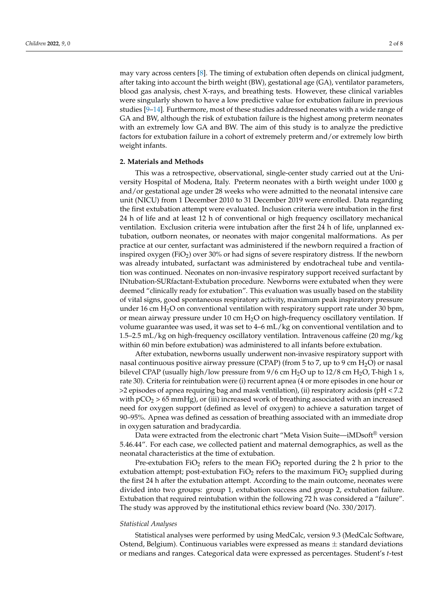may vary across centers [\[8\]](#page-6-2). The timing of extubation often depends on clinical judgment, after taking into account the birth weight (BW), gestational age (GA), ventilator parameters, blood gas analysis, chest X-rays, and breathing tests. However, these clinical variables were singularly shown to have a low predictive value for extubation failure in previous studies [\[9–](#page-6-3)[14\]](#page-6-4). Furthermore, most of these studies addressed neonates with a wide range of GA and BW, although the risk of extubation failure is the highest among preterm neonates with an extremely low GA and BW. The aim of this study is to analyze the predictive factors for extubation failure in a cohort of extremely preterm and/or extremely low birth weight infants.

# **2. Materials and Methods**

This was a retrospective, observational, single-center study carried out at the University Hospital of Modena, Italy. Preterm neonates with a birth weight under 1000 g and/or gestational age under 28 weeks who were admitted to the neonatal intensive care unit (NICU) from 1 December 2010 to 31 December 2019 were enrolled. Data regarding the first extubation attempt were evaluated. Inclusion criteria were intubation in the first 24 h of life and at least 12 h of conventional or high frequency oscillatory mechanical ventilation. Exclusion criteria were intubation after the first 24 h of life, unplanned extubation, outborn neonates, or neonates with major congenital malformations. As per practice at our center, surfactant was administered if the newborn required a fraction of inspired oxygen  $(FiO<sub>2</sub>)$  over 30% or had signs of severe respiratory distress. If the newborn was already intubated, surfactant was administered by endotracheal tube and ventilation was continued. Neonates on non-invasive respiratory support received surfactant by INtubation-SURfactant-Extubation procedure. Newborns were extubated when they were deemed "clinically ready for extubation". This evaluation was usually based on the stability of vital signs, good spontaneous respiratory activity, maximum peak inspiratory pressure under 16 cm  $H_2O$  on conventional ventilation with respiratory support rate under 30 bpm, or mean airway pressure under 10 cm  $H_2O$  on high-frequency oscillatory ventilation. If volume guarantee was used, it was set to 4–6 mL/kg on conventional ventilation and to 1.5–2.5 mL/kg on high-frequency oscillatory ventilation. Intravenous caffeine (20 mg/kg within 60 min before extubation) was administered to all infants before extubation.

After extubation, newborns usually underwent non-invasive respiratory support with nasal continuous positive airway pressure (CPAP) (from 5 to 7, up to 9 cm  $H_2O$ ) or nasal bilevel CPAP (usually high/low pressure from  $9/6$  cm  $H_2O$  up to  $12/8$  cm  $H_2O$ , T-high 1 s, rate 30). Criteria for reintubation were (i) recurrent apnea (4 or more episodes in one hour or >2 episodes of apnea requiring bag and mask ventilation), (ii) respiratory acidosis (pH < 7.2 with  $pCO<sub>2</sub> > 65$  mmHg), or (iii) increased work of breathing associated with an increased need for oxygen support (defined as level of oxygen) to achieve a saturation target of 90–95%. Apnea was defined as cessation of breathing associated with an immediate drop in oxygen saturation and bradycardia.

Data were extracted from the electronic chart "Meta Vision Suite—iMDsoft<sup>®</sup> version 5.46.44". For each case, we collected patient and maternal demographics, as well as the neonatal characteristics at the time of extubation.

Pre-extubation FiO<sub>2</sub> refers to the mean FiO<sub>2</sub> reported during the 2 h prior to the extubation attempt; post-extubation FiO<sub>2</sub> refers to the maximum FiO<sub>2</sub> supplied during the first 24 h after the extubation attempt. According to the main outcome, neonates were divided into two groups: group 1, extubation success and group 2, extubation failure. Extubation that required reintubation within the following 72 h was considered a "failure". The study was approved by the institutional ethics review board (No. 330/2017).

#### *Statistical Analyses*

Statistical analyses were performed by using MedCalc, version 9.3 (MedCalc Software, Ostend, Belgium). Continuous variables were expressed as means  $\pm$  standard deviations or medians and ranges. Categorical data were expressed as percentages. Student's *t*-test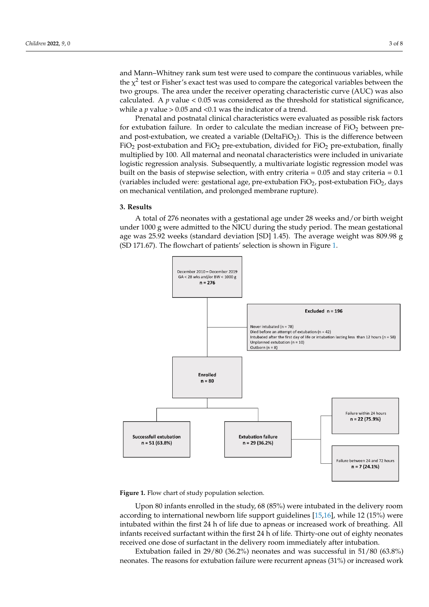and Mann–Whitney rank sum test were used to compare the continuous variables, while the  $\chi^2$  test or Fisher's exact test was used to compare the categorical variables between the threshold for  $\chi^2$ two groups. The area under the receiver operating characteristic curve (AUC) was also calculated. A *p* value  $< 0.05$  was considered as the threshold for statistical significance, while a *p* value  $> 0.05$  and  $< 0.1$  was the indicator of a trend.  $\mathcal{L}^2$  the  $\mathcal{L}^2$  test or  $\mathcal{L}^2$  test or  $\mathcal{L}^2$  test was used to compare the categorical test or  $\mathcal{L}^2$ itiey rain suit test were used to compare the commutations variables, while

Prenatal and postnatal clinical characteristics were evaluated as possible risk factors<br>Prenatal for extubation failure. In order to calculate the median increase of  $FiO<sub>2</sub>$  between preand post-extubation, we created a variable (DeltaFiO<sub>2</sub>). This is the difference between<br>Fi<sup>o</sup> FiO<sub>2</sub> post-extubation and FiO<sub>2</sub> pre-extubation, divided for FiO<sub>2</sub> pre-extubation, finally multiplied by 100. All maternal and neonatal characteristics were included in univariate<br>by the basis of stay criteria = 0.15 and state in the basis of state in the basis of the distance of the basis logistic regression analysis. Subsequently, a multivariate logistic regression model was<br>held we the harita of stational age, pre-exituded were extubation FiO2, post-extubation FiO2, days built on the basis of stepwise selection, with entry criteria =  $0.05$  and stay criteria =  $0.1$ (variables included were: gestational age, pre-extubation  $FiO<sub>2</sub>$ , post-extubation  $FiO<sub>2</sub>$ , days on mechanical ventilation, and prolonged membrane rupture).<br><mark>.</mark>

#### **3. Results**

A total of 276 neonates with a gestational age under 28 weeks and/or birth weight under 1000 g were admitted to the NICU during the study period. The mean gestational age was 25.92 weeks (standard deviation [SD] 1.45). The average weight was 809.98 g (SD 171.67). The flowchart of patients' selection is shown in Figure [1.](#page-2-0)

<span id="page-2-0"></span>

**Figure 1.** Flow chart of study population selection.

Upon 80 infants enrolled in the study, 68 (85%) were intubated in the delivery room according to international newborn life support guidelines [\[15](#page-6-5)[,16\]](#page-6-6), while 12 (15%) were intubated within the first 24 h of life due to apneas or increased work of breathing. All infants received surfactant within the first 24 h of life. Thirty-one out of eighty neonates received one dose of surfactant in the delivery room immediately after intubation.

Extubation failed in 29/80 (36.2%) neonates and was successful in 51/80 (63.8%) neonates. The reasons for extubation failure were recurrent apneas (31%) or increased work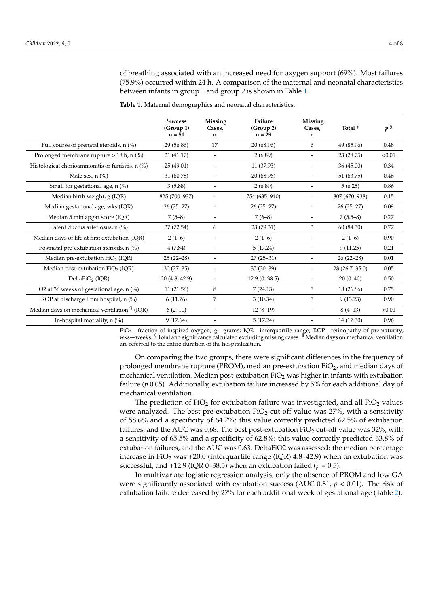of breathing associated with an increased need for oxygen support (69%). Most failures (75.9%) occurred within 24 h. A comparison of the maternal and neonatal characteristics between infants in group 1 and group 2 is shown in Table [1.](#page-3-0)

<span id="page-3-0"></span>**Table 1.** Maternal demographics and neonatal characteristics.

|                                                          | <b>Success</b><br>(Group 1)<br>$n = 51$ | <b>Missing</b><br>Cases.<br>$\mathbf n$ | Failure<br>(Group 2)<br>$n = 29$ | Missing<br>Cases.<br>n   | Total <sup>§</sup> | $p^{\S}$ |
|----------------------------------------------------------|-----------------------------------------|-----------------------------------------|----------------------------------|--------------------------|--------------------|----------|
| Full course of prenatal steroids, n (%)                  | 29 (56.86)                              | 17                                      | 20 (68.96)                       | 6                        | 49 (85.96)         | 0.48     |
| Prolonged membrane rupture $> 18$ h, n (%)               | 21 (41.17)                              | $\overline{\phantom{m}}$                | 2(6.89)                          | $\overline{\phantom{a}}$ | 23 (28.75)         | < 0.01   |
| Histological chorioamnionitis or funisitis, n (%)        | 25(49.01)                               |                                         | 11(37.93)                        |                          | 36 (45.00)         | 0.34     |
| Male sex, $n$ $\frac{\%}{\%}$                            | 31 (60.78)                              |                                         | 20 (68.96)                       |                          | 51 (63.75)         | 0.46     |
| Small for gestational age, $n$ (%)                       | 3(5.88)                                 | $\overline{\phantom{0}}$                | 2(6.89)                          |                          | 5(6.25)            | 0.86     |
| Median birth weight, g (IQR)                             | 825 (700-937)                           |                                         | 754 (635-940)                    |                          | 807 (670-938)      | 0.15     |
| Median gestational age, wks (IQR)                        | $26(25-27)$                             |                                         | $26(25-27)$                      | $\overline{\phantom{0}}$ | $26(25-27)$        | 0.09     |
| Median 5 min apgar score (IQR)                           | $7(5-8)$                                |                                         | $7(6-8)$                         |                          | $7(5.5-8)$         | 0.27     |
| Patent ductus arteriosus, n (%)                          | 37 (72.54)                              | 6                                       | 23(79.31)                        | 3                        | 60 (84.50)         | 0.77     |
| Median days of life at first extubation (IQR)            | $2(1-6)$                                |                                         | $2(1-6)$                         |                          | $2(1-6)$           | 0.90     |
| Postnatal pre-extubation steroids, n (%)                 | 4(7.84)                                 |                                         | 5(17.24)                         |                          | 9(11.25)           | 0.21     |
| Median pre-extubation $FiO2$ (IQR)                       | $25(22-28)$                             |                                         | $27(25-31)$                      |                          | $26(22-28)$        | 0.01     |
| Median post-extubation FiO <sub>2</sub> (IQR)            | $30(27-35)$                             | $\overline{\phantom{a}}$                | $35(30-39)$                      | $\overline{\phantom{a}}$ | $28(26.7-35.0)$    | 0.05     |
| DeltaFi $O_2$ (IQR)                                      | $20(4.8-42.9)$                          |                                         | $12.9(0-38.5)$                   |                          | $20(0-40)$         | 0.50     |
| O2 at 36 weeks of gestational age, n (%)                 | 11(21.56)                               | 8                                       | 7(24.13)                         | 5.                       | 18 (26.86)         | 0.75     |
| ROP at discharge from hospital, n (%)                    | 6(11.76)                                | 7                                       | 3(10.34)                         | 5                        | 9(13.23)           | 0.90     |
| Median days on mechanical ventilation $\mathbb{I}$ (IQR) | $6(2-10)$                               |                                         | $12(8-19)$                       |                          | $8(4-13)$          | < 0.01   |
| In-hospital mortality, $n$ (%)                           | 9(17.64)                                |                                         | 5(17.24)                         |                          | 14 (17.50)         | 0.96     |

FiO<sub>2</sub>—fraction of inspired oxygen; g—grams; IQR—interquartile range; ROP—retinopathy of prematurity; wks—weeks. § Total and significance calculated excluding missing cases. <sup>¶</sup> Median days on mechanical ventilation are referred to the entire duration of the hospitalization.

On comparing the two groups, there were significant differences in the frequency of prolonged membrane rupture (PROM), median pre-extubation  $FiO<sub>2</sub>$ , and median days of mechanical ventilation. Median post-extubation  $FiO<sub>2</sub>$  was higher in infants with extubation failure (*p* 0.05). Additionally, extubation failure increased by 5% for each additional day of mechanical ventilation.

The prediction of  $FiO<sub>2</sub>$  for extubation failure was investigated, and all  $FiO<sub>2</sub>$  values were analyzed. The best pre-extubation  $FiO<sub>2</sub>$  cut-off value was 27%, with a sensitivity of 58.6% and a specificity of 64.7%; this value correctly predicted 62.5% of extubation failures, and the AUC was 0.68. The best post-extubation  $FiO<sub>2</sub>$  cut-off value was 32%, with a sensitivity of 65.5% and a specificity of 62.8%; this value correctly predicted 63.8% of extubation failures, and the AUC was 0.63. DeltaFiO2 was assessed: the median percentage increase in FiO<sub>2</sub> was  $+20.0$  (interquartile range (IQR) 4.8–42.9) when an extubation was successful, and  $+12.9$  (IQR 0-38.5) when an extubation failed ( $p = 0.5$ ).

In multivariate logistic regression analysis, only the absence of PROM and low GA were significantly associated with extubation success (AUC 0.81, *p* < 0.01). The risk of extubation failure decreased by 27% for each additional week of gestational age (Table [2\)](#page-4-0).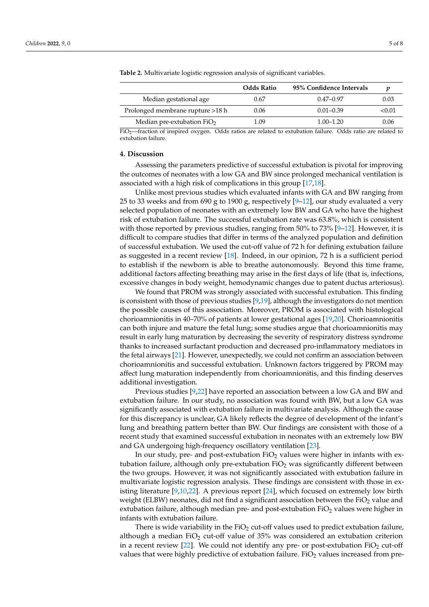|                                  | <b>Odds Ratio</b> | 95% Confidence Intervals |       |
|----------------------------------|-------------------|--------------------------|-------|
| Median gestational age           | 0.67              | $0.47 - 0.97$            | 0.03  |
| Prolonged membrane rupture >18 h | 0.06              | $0.01 - 0.39$            | <0.01 |
| Median pre-extubation $FiO2$     | 1.09              | $1.00 - 1.20$            | 0.06  |
|                                  |                   |                          |       |

<span id="page-4-0"></span>**Table 2.** Multivariate logistic regression analysis of significant variables.

FiO<sub>2</sub>—fraction of inspired oxygen. Odds ratios are related to extubation failure. Odds ratio are related to extubation failure.

# **4. Discussion**

Assessing the parameters predictive of successful extubation is pivotal for improving the outcomes of neonates with a low GA and BW since prolonged mechanical ventilation is associated with a high risk of complications in this group [\[17,](#page-6-7)[18\]](#page-6-8).

Unlike most previous studies which evaluated infants with GA and BW ranging from 25 to 33 weeks and from 690 g to 1900 g, respectively  $[9-12]$  $[9-12]$ , our study evaluated a very selected population of neonates with an extremely low BW and GA who have the highest risk of extubation failure. The successful extubation rate was 63.8%, which is consistent with those reported by previous studies, ranging from 50% to 73% [\[9](#page-6-3)[–12\]](#page-6-9). However, it is difficult to compare studies that differ in terms of the analyzed population and definition of successful extubation. We used the cut-off value of 72 h for defining extubation failure as suggested in a recent review [\[18\]](#page-6-8). Indeed, in our opinion, 72 h is a sufficient period to establish if the newborn is able to breathe autonomously. Beyond this time frame, additional factors affecting breathing may arise in the first days of life (that is, infections, excessive changes in body weight, hemodynamic changes due to patent ductus arteriosus).

We found that PROM was strongly associated with successful extubation. This finding is consistent with those of previous studies [\[9,](#page-6-3)[19\]](#page-6-10), although the investigators do not mention the possible causes of this association. Moreover, PROM is associated with histological chorioamnionitis in 40–70% of patients at lower gestational ages [\[19,](#page-6-10)[20\]](#page-6-11). Chorioamnionitis can both injure and mature the fetal lung; some studies argue that chorioamnionitis may result in early lung maturation by decreasing the severity of respiratory distress syndrome thanks to increased surfactant production and decreased pro-inflammatory mediators in the fetal airways [\[21\]](#page-6-12). However, unexpectedly, we could not confirm an association between chorioamnionitis and successful extubation. Unknown factors triggered by PROM may affect lung maturation independently from chorioamnionitis, and this finding deserves additional investigation.

Previous studies [\[9,](#page-6-3)[22\]](#page-6-13) have reported an association between a low GA and BW and extubation failure. In our study, no association was found with BW, but a low GA was significantly associated with extubation failure in multivariate analysis. Although the cause for this discrepancy is unclear, GA likely reflects the degree of development of the infant's lung and breathing pattern better than BW. Our findings are consistent with those of a recent study that examined successful extubation in neonates with an extremely low BW and GA undergoing high-frequency oscillatory ventilation [\[23\]](#page-6-14).

In our study, pre- and post-extubation  $FiO<sub>2</sub>$  values were higher in infants with extubation failure, although only pre-extubation  $FiO<sub>2</sub>$  was significantly different between the two groups. However, it was not significantly associated with extubation failure in multivariate logistic regression analysis. These findings are consistent with those in existing literature [\[9](#page-6-3)[,10](#page-6-15)[,22\]](#page-6-13). A previous report [\[24\]](#page-6-16), which focused on extremely low birth weight (ELBW) neonates, did not find a significant association between the FiO<sub>2</sub> value and extubation failure, although median pre- and post-extubation  $FiO<sub>2</sub>$  values were higher in infants with extubation failure.

There is wide variability in the  $FiO<sub>2</sub>$  cut-off values used to predict extubation failure, although a median FiO<sub>2</sub> cut-off value of  $35\%$  was considered an extubation criterion in a recent review [\[22\]](#page-6-13). We could not identify any pre- or post-extubation  $FiO<sub>2</sub>$  cut-off values that were highly predictive of extubation failure. Fi $O_2$  values increased from pre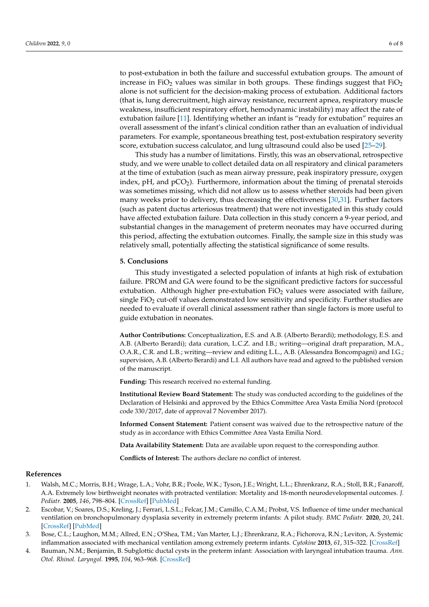to post-extubation in both the failure and successful extubation groups. The amount of increase in FiO<sub>2</sub> values was similar in both groups. These findings suggest that  $FiO<sub>2</sub>$ alone is not sufficient for the decision-making process of extubation. Additional factors (that is, lung derecruitment, high airway resistance, recurrent apnea, respiratory muscle weakness, insufficient respiratory effort, hemodynamic instability) may affect the rate of extubation failure [\[11\]](#page-6-17). Identifying whether an infant is "ready for extubation" requires an overall assessment of the infant's clinical condition rather than an evaluation of individual parameters. For example, spontaneous breathing test, post-extubation respiratory severity score, extubation success calculator, and lung ultrasound could also be used [\[25](#page-6-18)[–29\]](#page-6-19).

This study has a number of limitations. Firstly, this was an observational, retrospective study, and we were unable to collect detailed data on all respiratory and clinical parameters at the time of extubation (such as mean airway pressure, peak inspiratory pressure, oxygen index,  $pH$ , and  $pCO<sub>2</sub>$ ). Furthermore, information about the timing of prenatal steroids was sometimes missing, which did not allow us to assess whether steroids had been given many weeks prior to delivery, thus decreasing the effectiveness [\[30](#page-7-0)[,31\]](#page-7-1). Further factors (such as patent ductus arteriosus treatment) that were not investigated in this study could have affected extubation failure. Data collection in this study concern a 9-year period, and substantial changes in the management of preterm neonates may have occurred during this period, affecting the extubation outcomes. Finally, the sample size in this study was relatively small, potentially affecting the statistical significance of some results.

#### **5. Conclusions**

This study investigated a selected population of infants at high risk of extubation failure. PROM and GA were found to be the significant predictive factors for successful extubation. Although higher pre-extubation  $FiO<sub>2</sub>$  values were associated with failure, single FiO<sub>2</sub> cut-off values demonstrated low sensitivity and specificity. Further studies are needed to evaluate if overall clinical assessment rather than single factors is more useful to guide extubation in neonates.

**Author Contributions:** Conceptualization, E.S. and A.B. (Alberto Berardi); methodology, E.S. and A.B. (Alberto Berardi); data curation, L.C.Z. and I.B.; writing—original draft preparation, M.A., O.A.R., C.R. and L.B.; writing—review and editing L.L., A.B. (Alessandra Boncompagni) and I.G.; supervision, A.B. (Alberto Berardi) and L.I. All authors have read and agreed to the published version of the manuscript.

**Funding:** This research received no external funding.

**Institutional Review Board Statement:** The study was conducted according to the guidelines of the Declaration of Helsinki and approved by the Ethics Committee Area Vasta Emilia Nord (protocol code 330/2017, date of approval 7 November 2017).

**Informed Consent Statement:** Patient consent was waived due to the retrospective nature of the study as in accordance with Ethics Committee Area Vasta Emilia Nord.

**Data Availability Statement:** Data are available upon request to the corresponding author.

**Conflicts of Interest:** The authors declare no conflict of interest.

### **References**

- <span id="page-5-0"></span>1. Walsh, M.C.; Morris, B.H.; Wrage, L.A.; Vohr, B.R.; Poole, W.K.; Tyson, J.E.; Wright, L.L.; Ehrenkranz, R.A.; Stoll, B.R.; Fanaroff, A.A. Extremely low birthweight neonates with protracted ventilation: Mortality and 18-month neurodevelopmental outcomes. *J. Pediatr.* **2005**, *146*, 798–804. [\[CrossRef\]](http://doi.org/10.1016/j.jpeds.2005.01.047) [\[PubMed\]](http://www.ncbi.nlm.nih.gov/pubmed/15973322)
- 2. Escobar, V.; Soares, D.S.; Kreling, J.; Ferrari, L.S.L.; Felcar, J.M.; Camillo, C.A.M.; Probst, V.S. Influence of time under mechanical ventilation on bronchopulmonary dysplasia severity in extremely preterm infants: A pilot study. *BMC Pediatr.* **2020**, *20*, 241. [\[CrossRef\]](http://doi.org/10.1186/s12887-020-02129-2) [\[PubMed\]](http://www.ncbi.nlm.nih.gov/pubmed/32438923)
- <span id="page-5-1"></span>3. Bose, C.L.; Laughon, M.M.; Allred, E.N.; O'Shea, T.M.; Van Marter, L.J.; Ehrenkranz, R.A.; Fichorova, R.N.; Leviton, A. Systemic inflammation associated with mechanical ventilation among extremely preterm infants. *Cytokine* **2013**, *61*, 315–322. [\[CrossRef\]](http://doi.org/10.1016/j.cyto.2012.10.014)
- <span id="page-5-2"></span>4. Bauman, N.M.; Benjamin, B. Subglottic ductal cysts in the preterm infant: Association with laryngeal intubation trauma. *Ann. Otol. Rhinol. Laryngol.* **1995**, *104*, 963–968. [\[CrossRef\]](http://doi.org/10.1177/000348949510401209)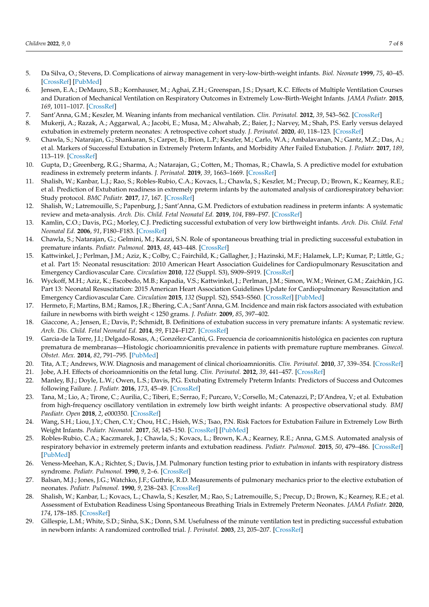- 5. Da Silva, O.; Stevens, D. Complications of airway management in very-low-birth-weight infants. *Biol. Neonate* **1999**, *75*, 40–45. [\[CrossRef\]](http://doi.org/10.1159/000014075) [\[PubMed\]](http://www.ncbi.nlm.nih.gov/pubmed/9831682)
- <span id="page-6-0"></span>6. Jensen, E.A.; DeMauro, S.B.; Kornhauser, M.; Aghai, Z.H.; Greenspan, J.S.; Dysart, K.C. Effects of Multiple Ventilation Courses and Duration of Mechanical Ventilation on Respiratory Outcomes in Extremely Low-Birth-Weight Infants. *JAMA Pediatr.* **2015**, *169*, 1011–1017. [\[CrossRef\]](http://doi.org/10.1001/jamapediatrics.2015.2401)
- <span id="page-6-1"></span>7. Sant'Anna, G.M.; Keszler, M. Weaning infants from mechanical ventilation. *Clin. Perinatol.* **2012**, *39*, 543–562. [\[CrossRef\]](http://doi.org/10.1016/j.clp.2012.06.003)
- <span id="page-6-2"></span>8. Mukerji, A.; Razak, A.; Aggarwal, A.; Jacobi, E.; Musa, M.; Alwahab, Z.; Baier, J.; Narvey, M.; Shah, P.S. Early versus delayed extubation in extremely preterm neonates: A retrospective cohort study. *J. Perinatol.* **2020**, *40*, 118–123. [\[CrossRef\]](http://doi.org/10.1038/s41372-019-0495-6)
- <span id="page-6-3"></span>9. Chawla, S.; Natarajan, G.; Shankaran, S.; Carper, B.; Brion, L.P.; Keszler, M.; Carlo, W.A.; Ambalavanan, N.; Gantz, M.Z.; Das, A.; et al. Markers of Successful Extubation in Extremely Preterm Infants, and Morbidity After Failed Extubation. *J. Pediatr.* **2017**, *189*, 113–119. [\[CrossRef\]](http://doi.org/10.1016/j.jpeds.2017.04.050)
- <span id="page-6-15"></span>10. Gupta, D.; Greenberg, R.G.; Sharma, A.; Natarajan, G.; Cotten, M.; Thomas, R.; Chawla, S. A predictive model for extubation readiness in extremely preterm infants. *J. Perinatol.* **2019**, *39*, 1663–1669. [\[CrossRef\]](http://doi.org/10.1038/s41372-019-0475-x)
- <span id="page-6-17"></span>11. Shalish, W.; Kanbar, L.J.; Rao, S.; Robles-Rubio, C.A.; Kovacs, L.; Chawla, S.; Keszler, M.; Precup, D.; Brown, K.; Kearney, R.E.; et al. Prediction of Extubation readiness in extremely preterm infants by the automated analysis of cardiorespiratory behavior: Study protocol. *BMC Pediatr.* **2017**, *17*, 167. [\[CrossRef\]](http://doi.org/10.1186/s12887-017-0911-z)
- <span id="page-6-9"></span>12. Shalish, W.; Latremouille, S.; Papenburg, J.; Sant'Anna, G.M. Predictors of extubation readiness in preterm infants: A systematic review and meta-analysis. *Arch. Dis. Child. Fetal Neonatal Ed.* **2019**, *104*, F89–F97. [\[CrossRef\]](http://doi.org/10.1136/archdischild-2017-313878)
- 13. Kamlin, C.O.; Davis, P.G.; Morley, C.J. Predicting successful extubation of very low birthweight infants. *Arch. Dis. Child. Fetal Neonatal Ed.* **2006**, *91*, F180–F183. [\[CrossRef\]](http://doi.org/10.1136/adc.2005.081083)
- <span id="page-6-4"></span>14. Chawla, S.; Natarajan, G.; Gelmini, M.; Kazzi, S.N. Role of spontaneous breathing trial in predicting successful extubation in premature infants. *Pediatr. Pulmonol.* **2013**, *48*, 443–448. [\[CrossRef\]](http://doi.org/10.1002/ppul.22623)
- <span id="page-6-5"></span>15. Kattwinkel, J.; Perlman, J.M.; Aziz, K.; Colby, C.; Fairchild, K.; Gallagher, J.; Hazinski, M.F.; Halamek, L.P.; Kumar, P.; Little, G.; et al. Part 15: Neonatal resuscitation: 2010 American Heart Association Guidelines for Cardiopulmonary Resuscitation and Emergency Cardiovascular Care. *Circulation* **2010**, *122* (Suppl. S3), S909–S919. [\[CrossRef\]](http://doi.org/10.1161/CIRCULATIONAHA.110.971119)
- <span id="page-6-6"></span>16. Wyckoff, M.H.; Aziz, K.; Escobedo, M.B.; Kapadia, V.S.; Kattwinkel, J.; Perlman, J.M.; Simon, W.M.; Weiner, G.M.; Zaichkin, J.G. Part 13: Neonatal Resuscitation: 2015 American Heart Association Guidelines Update for Cardiopulmonary Resuscitation and Emergency Cardiovascular Care. *Circulation* **2015**, *132* (Suppl. S2), S543–S560. [\[CrossRef\]](http://doi.org/10.1161/CIR.0000000000000267) [\[PubMed\]](http://www.ncbi.nlm.nih.gov/pubmed/26473001)
- <span id="page-6-7"></span>17. Hermeto, F.; Martins, B.M.; Ramos, J.R.; Bhering, C.A.; Sant'Anna, G.M. Incidence and main risk factors associated with extubation failure in newborns with birth weight < 1250 grams. *J. Pediatr.* **2009**, *85*, 397–402.
- <span id="page-6-8"></span>18. Giaccone, A.; Jensen, E.; Davis, P.; Schmidt, B. Definitions of extubation success in very premature infants: A systematic review. *Arch. Dis. Child. Fetal Neonatal Ed.* **2014**, *99*, F124–F127. [\[CrossRef\]](http://doi.org/10.1136/archdischild-2013-304896)
- <span id="page-6-10"></span>19. Garcia-de la Torre, J.I.; Delgado-Rosas, A.; Gonzélez-Cantú, G. Frecuencia de corioamnionitis histológica en pacientes con ruptura prematura de membranas—Histologic chorioamnionitis prevalence in patients with premature rupture membranes. *Ginecol. Obstet. Mex.* **2014**, *82*, 791–795. [\[PubMed\]](http://www.ncbi.nlm.nih.gov/pubmed/25826963)
- <span id="page-6-11"></span>20. Tita, A.T.; Andrews, W.W. Diagnosis and management of clinical chorioamnionitis. *Clin. Perinatol.* **2010**, *37*, 339–354. [\[CrossRef\]](http://doi.org/10.1016/j.clp.2010.02.003)
- <span id="page-6-12"></span>21. Jobe, A.H. Effects of chorioamnionitis on the fetal lung. *Clin. Perinatol.* **2012**, *39*, 441–457. [\[CrossRef\]](http://doi.org/10.1016/j.clp.2012.06.010)
- <span id="page-6-13"></span>22. Manley, B.J.; Doyle, L.W.; Owen, L.S.; Davis, P.G. Extubating Extremely Preterm Infants: Predictors of Success and Outcomes following Failure. *J. Pediatr.* **2016**, *173*, 45–49. [\[CrossRef\]](http://doi.org/10.1016/j.jpeds.2016.02.016)
- <span id="page-6-14"></span>23. Tana, M.; Lio, A.; Tirone, C.; Aurilia, C.; Tiberi, E.; Serrao, F.; Purcaro, V.; Corsello, M.; Catenazzi, P.; D'Andrea, V.; et al. Extubation from high-frequency oscillatory ventilation in extremely low birth weight infants: A prospective observational study. *BMJ Paediatr. Open* **2018**, *2*, e000350. [\[CrossRef\]](http://doi.org/10.1136/bmjpo-2018-000350)
- <span id="page-6-16"></span>24. Wang, S.H.; Liou, J.Y.; Chen, C.Y.; Chou, H.C.; Hsieh, W.S.; Tsao, P.N. Risk Factors for Extubation Failure in Extremely Low Birth Weight Infants. *Pediatr. Neonatol.* **2017**, *58*, 145–150. [\[CrossRef\]](http://doi.org/10.1016/j.pedneo.2016.01.006) [\[PubMed\]](http://www.ncbi.nlm.nih.gov/pubmed/27349301)
- <span id="page-6-18"></span>25. Robles-Rubio, C.A.; Kaczmarek, J.; Chawla, S.; Kovacs, L.; Brown, K.A.; Kearney, R.E.; Anna, G.M.S. Automated analysis of respiratory behavior in extremely preterm infants and extubation readiness. *Pediatr. Pulmonol.* **2015**, *50*, 479–486. [\[CrossRef\]](http://doi.org/10.1002/ppul.23151) [\[PubMed\]](http://www.ncbi.nlm.nih.gov/pubmed/25603969)
- 26. Veness-Meehan, K.A.; Richter, S.; Davis, J.M. Pulmonary function testing prior to extubation in infants with respiratory distress syndrome. *Pediatr. Pulmonol.* **1990**, *9*, 2–6. [\[CrossRef\]](http://doi.org/10.1002/ppul.1950090103)
- 27. Balsan, M.J.; Jones, J.G.; Watchko, J.F.; Guthrie, R.D. Measurements of pulmonary mechanics prior to the elective extubation of neonates. *Pediatr. Pulmonol.* **1990**, *9*, 238–243. [\[CrossRef\]](http://doi.org/10.1002/ppul.1950090409)
- 28. Shalish, W.; Kanbar, L.; Kovacs, L.; Chawla, S.; Keszler, M.; Rao, S.; Latremouille, S.; Precup, D.; Brown, K.; Kearney, R.E.; et al. Assessment of Extubation Readiness Using Spontaneous Breathing Trials in Extremely Preterm Neonates. *JAMA Pediatr.* **2020**, *174*, 178–185. [\[CrossRef\]](http://doi.org/10.1001/jamapediatrics.2019.4868)
- <span id="page-6-19"></span>29. Gillespie, L.M.; White, S.D.; Sinha, S.K.; Donn, S.M. Usefulness of the minute ventilation test in predicting successful extubation in newborn infants: A randomized controlled trial. *J. Perinatol.* **2003**, *23*, 205–207. [\[CrossRef\]](http://doi.org/10.1038/sj.jp.7210886)